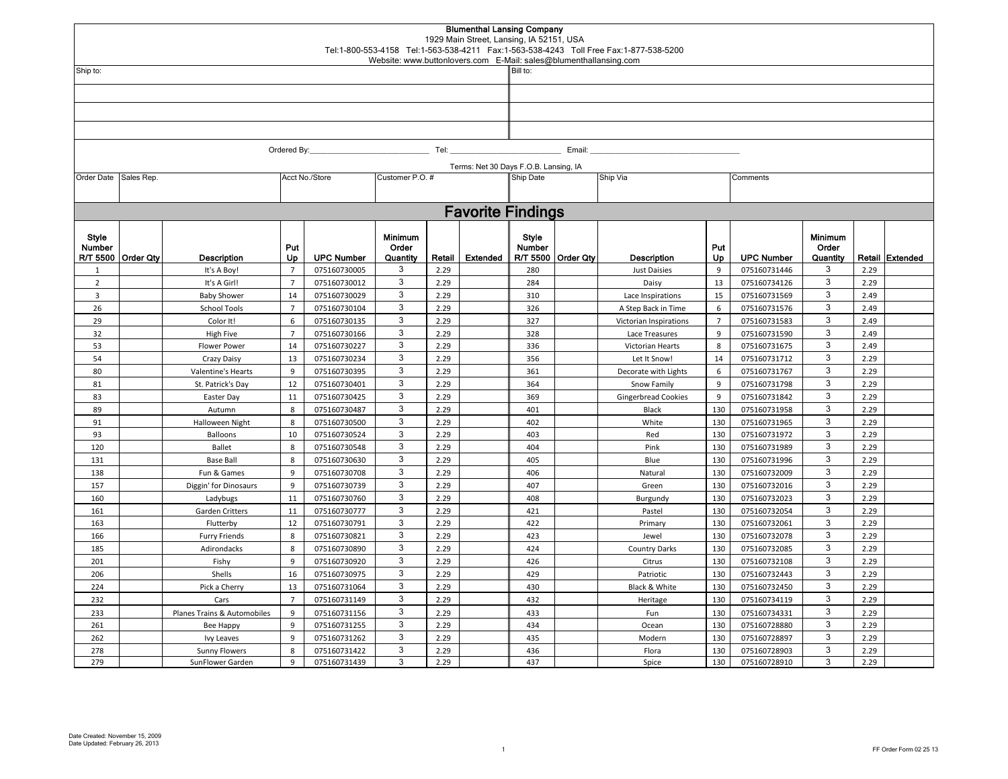|                 |                      |                                    |                   |                              | Website: www.buttonlovers.com E-Mail: sales@blumenthallansing.com |              | <b>Blumenthal Lansing Company</b><br>1929 Main Street, Lansing, IA 52151, USA |                                       |                    | Tel:1-800-553-4158 Tel:1-563-538-4211 Fax:1-563-538-4243 Toll Free Fax:1-877-538-5200 |                |                              |                                     |              |                 |  |  |  |  |
|-----------------|----------------------|------------------------------------|-------------------|------------------------------|-------------------------------------------------------------------|--------------|-------------------------------------------------------------------------------|---------------------------------------|--------------------|---------------------------------------------------------------------------------------|----------------|------------------------------|-------------------------------------|--------------|-----------------|--|--|--|--|
| Ship to:        |                      |                                    |                   |                              |                                                                   |              |                                                                               |                                       |                    | Bill to:                                                                              |                |                              |                                     |              |                 |  |  |  |  |
|                 |                      |                                    |                   |                              |                                                                   |              |                                                                               |                                       |                    |                                                                                       |                |                              |                                     |              |                 |  |  |  |  |
|                 |                      |                                    |                   |                              |                                                                   |              |                                                                               |                                       |                    |                                                                                       |                |                              |                                     |              |                 |  |  |  |  |
|                 |                      |                                    |                   |                              |                                                                   |              |                                                                               |                                       |                    |                                                                                       |                |                              |                                     |              |                 |  |  |  |  |
|                 |                      |                                    |                   |                              |                                                                   |              |                                                                               |                                       |                    |                                                                                       |                |                              |                                     |              |                 |  |  |  |  |
|                 |                      |                                    |                   |                              |                                                                   |              |                                                                               |                                       |                    |                                                                                       |                |                              |                                     |              |                 |  |  |  |  |
|                 | Tel:<br>Ordered By:  |                                    |                   |                              |                                                                   |              |                                                                               | Email:                                |                    |                                                                                       |                |                              |                                     |              |                 |  |  |  |  |
|                 |                      |                                    |                   |                              |                                                                   |              |                                                                               | Terms: Net 30 Days F.O.B. Lansing, IA |                    |                                                                                       |                |                              |                                     |              |                 |  |  |  |  |
| Order Date      | Sales Rep.           |                                    |                   | Acct No./Store               | Customer P.O. #                                                   |              |                                                                               | Ship Date<br>Ship Via<br>Comments     |                    |                                                                                       |                |                              |                                     |              |                 |  |  |  |  |
|                 |                      |                                    |                   |                              |                                                                   |              |                                                                               |                                       |                    |                                                                                       |                |                              |                                     |              |                 |  |  |  |  |
|                 |                      |                                    |                   |                              |                                                                   |              | <b>Favorite Findings</b>                                                      |                                       |                    |                                                                                       |                |                              |                                     |              |                 |  |  |  |  |
| Style<br>Number | R/T 5500   Order Qty | <b>Description</b>                 | Put<br>Up         | <b>UPC Number</b>            | <b>Minimum</b><br>Order<br>Quantity                               | Retail       | Extended                                                                      | Style<br>Number                       | R/T 5500 Order Qty | <b>Description</b>                                                                    | Put<br>Up      | <b>UPC Number</b>            | <b>Minimum</b><br>Order<br>Quantity |              | Retail Extended |  |  |  |  |
| 1               |                      | It's A Boy!                        | $\overline{7}$    | 075160730005                 | 3                                                                 | 2.29         |                                                                               | 280                                   |                    | <b>Just Daisies</b>                                                                   | 9              | 075160731446                 | 3                                   | 2.29         |                 |  |  |  |  |
| $\overline{2}$  |                      | It's A Girl!                       | $\overline{7}$    | 075160730012                 | 3                                                                 | 2.29         |                                                                               | 284                                   |                    | Daisy                                                                                 | 13             | 075160734126                 | 3                                   | 2.29         |                 |  |  |  |  |
| $\overline{3}$  |                      | <b>Baby Shower</b>                 | 14                | 075160730029                 | 3                                                                 | 2.29         |                                                                               | 310                                   |                    | Lace Inspirations                                                                     | 15             | 075160731569                 | 3                                   | 2.49         |                 |  |  |  |  |
| 26              |                      | <b>School Tools</b>                | $\overline{7}$    | 075160730104                 | 3                                                                 | 2.29         |                                                                               | 326                                   |                    | A Step Back in Time                                                                   | 6              | 075160731576                 | 3                                   | 2.49         |                 |  |  |  |  |
| 29              |                      | Color It!                          | 6                 | 075160730135                 | 3                                                                 | 2.29         |                                                                               | 327                                   |                    | Victorian Inspirations                                                                | $\overline{7}$ | 075160731583                 | $\mathbf{3}$                        | 2.49         |                 |  |  |  |  |
| 32              |                      | <b>High Five</b>                   | $\overline{7}$    | 075160730166                 | 3                                                                 | 2.29         |                                                                               | 328                                   |                    | Lace Treasures                                                                        | $\mathbf{q}$   | 075160731590                 | 3                                   | 2.49         |                 |  |  |  |  |
| 53              |                      | <b>Flower Power</b>                | 14                | 075160730227                 | 3                                                                 | 2.29         |                                                                               | 336                                   |                    | Victorian Hearts                                                                      | 8              | 075160731675                 | 3                                   | 2.49         |                 |  |  |  |  |
| 54<br>80        |                      | Crazy Daisy                        | 13                | 075160730234                 | 3<br>3                                                            | 2.29<br>2.29 |                                                                               | 356                                   |                    | Let It Snow!                                                                          | 14<br>6        | 075160731712                 | 3<br>3                              | 2.29<br>2.29 |                 |  |  |  |  |
| 81              |                      | Valentine's Hearts                 | 9<br>12           | 075160730395<br>075160730401 | 3                                                                 | 2.29         |                                                                               | 361<br>364                            |                    | Decorate with Lights                                                                  | 9              | 075160731767<br>075160731798 | 3                                   | 2.29         |                 |  |  |  |  |
| 83              |                      | St. Patrick's Day<br>Easter Day    | 11                | 075160730425                 | 3                                                                 | 2.29         |                                                                               | 369                                   |                    | Snow Family<br><b>Gingerbread Cookies</b>                                             | $\overline{9}$ | 075160731842                 | 3                                   | 2.29         |                 |  |  |  |  |
| 89              |                      | Autumn                             | 8                 | 075160730487                 | 3                                                                 | 2.29         |                                                                               | 401                                   |                    | Black                                                                                 | 130            | 075160731958                 | 3                                   | 2.29         |                 |  |  |  |  |
| 91              |                      | Halloween Night                    | 8                 | 075160730500                 | 3                                                                 | 2.29         |                                                                               | 402                                   |                    | White                                                                                 | 130            | 075160731965                 | 3                                   | 2.29         |                 |  |  |  |  |
| 93              |                      | Balloons                           | 10                | 075160730524                 | 3                                                                 | 2.29         |                                                                               | 403                                   |                    | Red                                                                                   | 130            | 075160731972                 | 3                                   | 2.29         |                 |  |  |  |  |
| 120             |                      | <b>Ballet</b>                      | 8                 | 075160730548                 | 3                                                                 | 2.29         |                                                                               | 404                                   |                    | Pink                                                                                  | 130            | 075160731989                 | 3                                   | 2.29         |                 |  |  |  |  |
| 131             |                      | <b>Base Ball</b>                   | 8                 | 075160730630                 | 3                                                                 | 2.29         |                                                                               | 405                                   |                    | Blue                                                                                  | 130            | 075160731996                 | 3                                   | 2.29         |                 |  |  |  |  |
| 138             |                      | Fun & Games                        | 9                 | 075160730708                 | 3                                                                 | 2.29         |                                                                               | 406                                   |                    | Natural                                                                               | 130            | 075160732009                 | 3                                   | 2.29         |                 |  |  |  |  |
| 157             |                      | Diggin' for Dinosaurs              | 9                 | 075160730739                 | 3                                                                 | 2.29         |                                                                               | 407                                   |                    | Green                                                                                 | 130            | 075160732016                 | 3                                   | 2.29         |                 |  |  |  |  |
| 160             |                      | Ladybugs                           | 11                | 075160730760                 | 3                                                                 | 2.29         |                                                                               | 408                                   |                    | Burgundy                                                                              | 130            | 075160732023                 | 3                                   | 2.29         |                 |  |  |  |  |
| 161             |                      | <b>Garden Critters</b>             | 11                | 075160730777                 | 3                                                                 | 2.29         |                                                                               | 421                                   |                    | Pastel                                                                                | 130            | 075160732054                 | 3                                   | 2.29         |                 |  |  |  |  |
| 163             |                      | Flutterby                          | 12                | 075160730791                 | 3                                                                 | 2.29         |                                                                               | 422                                   |                    | Primary                                                                               | 130            | 075160732061                 | 3                                   | 2.29         |                 |  |  |  |  |
| 166             |                      | <b>Furry Friends</b>               | 8                 | 075160730821                 | 3                                                                 | 2.29         |                                                                               | 423                                   |                    | Jewel                                                                                 | 130            | 075160732078                 | 3                                   | 2.29         |                 |  |  |  |  |
| 185             |                      | Adirondacks                        | 8                 | 075160730890                 | 3                                                                 | 2.29         |                                                                               | 424                                   |                    | <b>Country Darks</b>                                                                  | 130            | 075160732085                 | 3                                   | 2.29         |                 |  |  |  |  |
| 201             |                      | Fishy                              | 9                 | 075160730920                 | 3                                                                 | 2.29         |                                                                               | 426                                   |                    | Citrus                                                                                | 130            | 075160732108                 | 3                                   | 2.29         |                 |  |  |  |  |
| 206             |                      | Shells                             | 16                | 075160730975                 | 3                                                                 | 2.29         |                                                                               | 429                                   |                    | Patriotic                                                                             | 130            | 075160732443                 | 3                                   | 2.29         |                 |  |  |  |  |
| 224             |                      | Pick a Cherry                      | 13                | 075160731064                 | 3<br>3                                                            | 2.29         |                                                                               | 430                                   |                    | Black & White                                                                         | 130            | 075160732450                 | 3<br>3                              | 2.29         |                 |  |  |  |  |
| 232             |                      | Cars                               | $\overline{7}$    | 075160731149                 | 3                                                                 | 2.29<br>2.29 |                                                                               | 432                                   |                    | Heritage                                                                              | 130            | 075160734119                 | 3                                   | 2.29         |                 |  |  |  |  |
| 233             |                      | Planes Trains & Automobiles        | 9<br>$\mathbf{q}$ | 075160731156                 | 3                                                                 |              |                                                                               | 433                                   |                    | Fun                                                                                   | 130            | 075160734331                 | 3                                   | 2.29<br>2.29 |                 |  |  |  |  |
| 261<br>262      |                      | Bee Happy                          | 9                 | 075160731255<br>075160731262 | 3                                                                 | 2.29<br>2.29 |                                                                               | 434<br>435                            |                    | Ocean<br>Modern                                                                       | 130<br>130     | 075160728880<br>075160728897 | 3                                   | 2.29         |                 |  |  |  |  |
| 278             |                      | <b>Ivy Leaves</b><br>Sunny Flowers | 8                 | 075160731422                 | 3                                                                 | 2.29         |                                                                               | 436                                   |                    | Flora                                                                                 | 130            | 075160728903                 | 3                                   | 2.29         |                 |  |  |  |  |
| 279             |                      | SunFlower Garden                   | 9                 | 075160731439                 | 3                                                                 | 2.29         |                                                                               | 437                                   |                    | Spice                                                                                 | 130            | 075160728910                 | 3                                   | 2.29         |                 |  |  |  |  |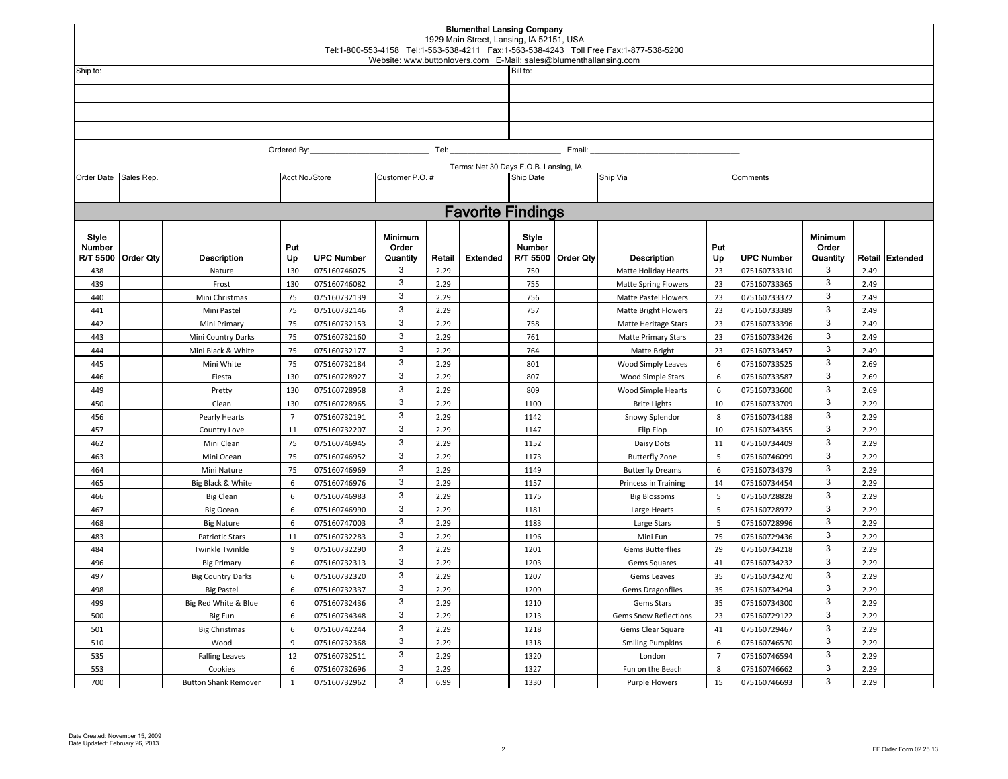|                             |                  |                                |                 |                              |                                     |              | <b>Blumenthal Lansing Company</b><br>1929 Main Street, Lansing, IA 52151, USA |                                                                               |                    | Tel:1-800-553-4158 Tel:1-563-538-4211 Fax:1-563-538-4243 Toll Free Fax:1-877-538-5200 |                      |                              |                                     |              |                 |  |  |  |
|-----------------------------|------------------|--------------------------------|-----------------|------------------------------|-------------------------------------|--------------|-------------------------------------------------------------------------------|-------------------------------------------------------------------------------|--------------------|---------------------------------------------------------------------------------------|----------------------|------------------------------|-------------------------------------|--------------|-----------------|--|--|--|
| Ship to:                    |                  |                                |                 |                              |                                     |              |                                                                               | Website: www.buttonlovers.com E-Mail: sales@blumenthallansing.com<br>Bill to: |                    |                                                                                       |                      |                              |                                     |              |                 |  |  |  |
|                             |                  |                                |                 |                              |                                     |              |                                                                               |                                                                               |                    |                                                                                       |                      |                              |                                     |              |                 |  |  |  |
|                             |                  |                                |                 |                              |                                     |              |                                                                               |                                                                               |                    |                                                                                       |                      |                              |                                     |              |                 |  |  |  |
|                             |                  |                                |                 |                              |                                     |              |                                                                               |                                                                               |                    |                                                                                       |                      |                              |                                     |              |                 |  |  |  |
|                             |                  |                                |                 |                              |                                     |              |                                                                               |                                                                               |                    |                                                                                       |                      |                              |                                     |              |                 |  |  |  |
|                             |                  |                                |                 |                              |                                     |              |                                                                               |                                                                               |                    |                                                                                       |                      |                              |                                     |              |                 |  |  |  |
|                             |                  |                                | Ordered By:     |                              |                                     | Tel:         |                                                                               | Email:                                                                        |                    |                                                                                       |                      |                              |                                     |              |                 |  |  |  |
|                             |                  |                                |                 |                              |                                     |              |                                                                               | Terms: Net 30 Days F.O.B. Lansing, IA                                         |                    |                                                                                       |                      |                              |                                     |              |                 |  |  |  |
| Order Date                  | Sales Rep.       |                                |                 | Acct No./Store               | Customer P.O. #                     |              |                                                                               | Ship Date                                                                     |                    | Ship Via                                                                              |                      | Comments                     |                                     |              |                 |  |  |  |
|                             |                  |                                |                 |                              |                                     |              |                                                                               |                                                                               |                    |                                                                                       |                      |                              |                                     |              |                 |  |  |  |
|                             |                  |                                |                 |                              |                                     |              | <b>Favorite Findings</b>                                                      |                                                                               |                    |                                                                                       |                      |                              |                                     |              |                 |  |  |  |
| Style<br>Number<br>R/T 5500 | <b>Order Qty</b> | <b>Description</b>             | Put<br>Up       | <b>UPC Number</b>            | <b>Minimum</b><br>Order<br>Quantity | Retail       | Extended                                                                      | Style<br>Number                                                               | R/T 5500 Order Qty | <b>Description</b>                                                                    | Put<br>Up            | <b>UPC Number</b>            | <b>Minimum</b><br>Order<br>Quantity |              | Retail Extended |  |  |  |
| 438                         |                  | Nature                         | 130             | 075160746075                 | 3                                   | 2.29         |                                                                               | 750                                                                           |                    | Matte Holiday Hearts                                                                  | 23                   | 075160733310                 | 3                                   | 2.49         |                 |  |  |  |
| 439                         |                  | Frost                          | 130             | 075160746082                 | 3                                   | 2.29         |                                                                               | 755                                                                           |                    | <b>Matte Spring Flowers</b>                                                           | 23                   | 075160733365                 | $\mathsf 3$                         | 2.49         |                 |  |  |  |
| 440                         |                  | Mini Christmas                 | 75              | 075160732139                 | 3                                   | 2.29         |                                                                               | 756                                                                           |                    | Matte Pastel Flowers                                                                  | 23                   | 075160733372                 | 3                                   | 2.49         |                 |  |  |  |
| 441                         |                  | Mini Pastel                    | 75              | 075160732146                 | $\mathbf{3}$                        | 2.29         |                                                                               | 757                                                                           |                    | <b>Matte Bright Flowers</b>                                                           | 23                   | 075160733389                 | $\mathsf 3$                         | 2.49         |                 |  |  |  |
| 442                         |                  | Mini Primary                   | 75              | 075160732153                 | 3                                   | 2.29         |                                                                               | 758                                                                           |                    | Matte Heritage Stars                                                                  | 23                   | 075160733396                 | $\mathsf 3$                         | 2.49         |                 |  |  |  |
| 443                         |                  | Mini Country Darks             | 75              | 075160732160                 | 3                                   | 2.29         |                                                                               | 761                                                                           |                    | <b>Matte Primary Stars</b>                                                            | 23                   | 075160733426                 | $\mathsf 3$                         | 2.49         |                 |  |  |  |
| 444                         |                  | Mini Black & White             | 75              | 075160732177                 | $\mathbf{3}$                        | 2.29         |                                                                               | 764                                                                           |                    | Matte Bright                                                                          | 23                   | 075160733457                 | $\mathsf 3$                         | 2.49         |                 |  |  |  |
| 445                         |                  | Mini White                     | 75              | 075160732184                 | 3                                   | 2.29         |                                                                               | 801                                                                           |                    | Wood Simply Leaves                                                                    | 6                    | 075160733525                 | 3                                   | 2.69         |                 |  |  |  |
| 446                         |                  | Fiesta                         | 130             | 075160728927                 | $\mathbf{3}$                        | 2.29         |                                                                               | 807                                                                           |                    | Wood Simple Stars                                                                     | 6                    | 075160733587                 | $\mathsf 3$                         | 2.69         |                 |  |  |  |
| 449                         |                  | Pretty                         | 130             | 075160728958                 | 3                                   | 2.29         |                                                                               | 809                                                                           |                    | Wood Simple Hearts                                                                    | 6                    | 075160733600                 | 3                                   | 2.69         |                 |  |  |  |
| 450                         |                  | Clean                          | 130             | 075160728965                 | 3                                   | 2.29         |                                                                               | 1100                                                                          |                    | <b>Brite Lights</b>                                                                   | 10                   | 075160733709                 | 3                                   | 2.29         |                 |  |  |  |
| 456                         |                  | Pearly Hearts                  | $\overline{7}$  | 075160732191                 | 3                                   | 2.29         |                                                                               | 1142                                                                          |                    | Snowy Splendor                                                                        | 8                    | 075160734188                 | 3                                   | 2.29         |                 |  |  |  |
| 457                         |                  | Country Love                   | 11              | 075160732207                 | 3                                   | 2.29         |                                                                               | 1147                                                                          |                    | Flip Flop                                                                             | 10                   | 075160734355                 | 3                                   | 2.29         |                 |  |  |  |
| 462                         |                  | Mini Clean                     | 75              | 075160746945                 | 3                                   | 2.29         |                                                                               | 1152                                                                          |                    | Daisy Dots                                                                            | 11                   | 075160734409                 | 3                                   | 2.29         |                 |  |  |  |
| 463                         |                  | Mini Ocean                     | 75              | 075160746952                 | 3<br>3                              | 2.29         |                                                                               | 1173                                                                          |                    | <b>Butterfly Zone</b>                                                                 | 5                    | 075160746099                 | 3<br>3                              | 2.29         |                 |  |  |  |
| 464                         |                  | Mini Nature                    | 75              | 075160746969                 | 3                                   | 2.29         |                                                                               | 1149                                                                          |                    | <b>Butterfly Dreams</b>                                                               | 6                    | 075160734379                 | 3                                   | 2.29<br>2.29 |                 |  |  |  |
| 465                         |                  | Big Black & White              | 6<br>6          | 075160746976                 | 3                                   | 2.29<br>2.29 |                                                                               | 1157                                                                          |                    | Princess in Training                                                                  | 14<br>5 <sup>1</sup> | 075160734454<br>075160728828 | 3                                   | 2.29         |                 |  |  |  |
| 466                         |                  | <b>Big Clean</b>               | 6               | 075160746983                 | 3                                   | 2.29         |                                                                               | 1175<br>1181                                                                  |                    | <b>Big Blossoms</b>                                                                   | 5 <sup>1</sup>       | 075160728972                 | 3                                   | 2.29         |                 |  |  |  |
| 467<br>468                  |                  | Big Ocean<br><b>Big Nature</b> | $6\phantom{1}6$ | 075160746990<br>075160747003 | 3                                   | 2.29         |                                                                               | 1183                                                                          |                    | Large Hearts<br>Large Stars                                                           | 5                    | 075160728996                 | 3                                   | 2.29         |                 |  |  |  |
| 483                         |                  | <b>Patriotic Stars</b>         | 11              | 075160732283                 | 3                                   | 2.29         |                                                                               | 1196                                                                          |                    | Mini Fun                                                                              | 75                   | 075160729436                 | 3                                   | 2.29         |                 |  |  |  |
| 484                         |                  | <b>Twinkle Twinkle</b>         | $\mathbf{q}$    | 075160732290                 | 3                                   | 2.29         |                                                                               | 1201                                                                          |                    | <b>Gems Butterflies</b>                                                               | 29                   | 075160734218                 | 3                                   | 2.29         |                 |  |  |  |
| 496                         |                  | <b>Big Primary</b>             | 6               | 075160732313                 | 3                                   | 2.29         |                                                                               | 1203                                                                          |                    | Gems Squares                                                                          | 41                   | 075160734232                 | 3                                   | 2.29         |                 |  |  |  |
| 497                         |                  | <b>Big Country Darks</b>       | 6               | 075160732320                 | 3                                   | 2.29         |                                                                               | 1207                                                                          |                    | Gems Leaves                                                                           | 35                   | 075160734270                 | 3                                   | 2.29         |                 |  |  |  |
| 498                         |                  | <b>Big Pastel</b>              | 6               | 075160732337                 | 3                                   | 2.29         |                                                                               | 1209                                                                          |                    | <b>Gems Dragonflies</b>                                                               | 35                   | 075160734294                 | 3                                   | 2.29         |                 |  |  |  |
| 499                         |                  | Big Red White & Blue           | 6               | 075160732436                 | 3                                   | 2.29         |                                                                               | 1210                                                                          |                    | Gems Stars                                                                            | 35                   | 075160734300                 | 3                                   | 2.29         |                 |  |  |  |
| 500                         |                  | Big Fun                        | 6               | 075160734348                 | $\mathbf{3}$                        | 2.29         |                                                                               | 1213                                                                          |                    | Gems Snow Reflections                                                                 | 23                   | 075160729122                 | 3                                   | 2.29         |                 |  |  |  |
| 501                         |                  | <b>Big Christmas</b>           | 6               | 075160742244                 | 3                                   | 2.29         |                                                                               | 1218                                                                          |                    | Gems Clear Square                                                                     | 41                   | 075160729467                 | 3                                   | 2.29         |                 |  |  |  |
| 510                         |                  | Wood                           | 9               | 075160732368                 | 3                                   | 2.29         |                                                                               | 1318                                                                          |                    | <b>Smiling Pumpkins</b>                                                               | 6                    | 075160746570                 | 3                                   | 2.29         |                 |  |  |  |
| 535                         |                  | <b>Falling Leaves</b>          | 12              | 075160732511                 | 3                                   | 2.29         |                                                                               | 1320                                                                          |                    | London                                                                                | $\overline{7}$       | 075160746594                 | 3                                   | 2.29         |                 |  |  |  |
| 553                         |                  | Cookies                        | 6               | 075160732696                 | 3                                   | 2.29         |                                                                               | 1327                                                                          |                    | Fun on the Beach                                                                      | 8                    | 075160746662                 | 3                                   | 2.29         |                 |  |  |  |
| 700                         |                  | <b>Button Shank Remover</b>    | $\mathbf{1}$    | 075160732962                 | 3                                   | 6.99         |                                                                               | 1330                                                                          |                    | <b>Purple Flowers</b>                                                                 | 15                   | 075160746693                 | 3                                   | 2.29         |                 |  |  |  |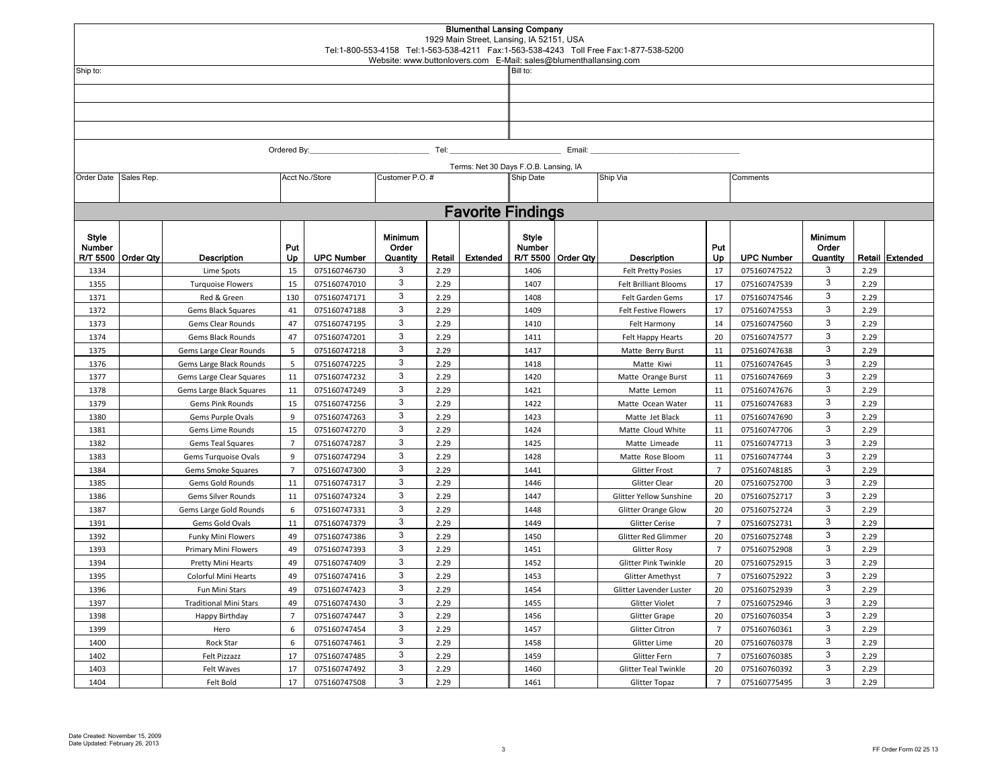|                             |                  |                                       |                |                              |                                     |              | <b>Blumenthal Lansing Company</b><br>1929 Main Street, Lansing, IA 52151, USA |                                                                               |                    | Tel:1-800-553-4158 Tel:1-563-538-4211 Fax:1-563-538-4243 Toll Free Fax:1-877-538-5200 |                      |                              |                                     |              |                 |  |  |  |
|-----------------------------|------------------|---------------------------------------|----------------|------------------------------|-------------------------------------|--------------|-------------------------------------------------------------------------------|-------------------------------------------------------------------------------|--------------------|---------------------------------------------------------------------------------------|----------------------|------------------------------|-------------------------------------|--------------|-----------------|--|--|--|
| Ship to:                    |                  |                                       |                |                              |                                     |              |                                                                               | Website: www.buttonlovers.com E-Mail: sales@blumenthallansing.com<br>Bill to: |                    |                                                                                       |                      |                              |                                     |              |                 |  |  |  |
|                             |                  |                                       |                |                              |                                     |              |                                                                               |                                                                               |                    |                                                                                       |                      |                              |                                     |              |                 |  |  |  |
|                             |                  |                                       |                |                              |                                     |              |                                                                               |                                                                               |                    |                                                                                       |                      |                              |                                     |              |                 |  |  |  |
|                             |                  |                                       |                |                              |                                     |              |                                                                               |                                                                               |                    |                                                                                       |                      |                              |                                     |              |                 |  |  |  |
|                             |                  |                                       |                |                              |                                     |              |                                                                               |                                                                               |                    |                                                                                       |                      |                              |                                     |              |                 |  |  |  |
|                             |                  |                                       |                |                              |                                     |              |                                                                               |                                                                               |                    |                                                                                       |                      |                              |                                     |              |                 |  |  |  |
|                             |                  |                                       | Ordered By:    |                              |                                     | Tel:         |                                                                               | Email:                                                                        |                    |                                                                                       |                      |                              |                                     |              |                 |  |  |  |
|                             |                  |                                       |                |                              |                                     |              |                                                                               | Terms: Net 30 Days F.O.B. Lansing, IA                                         |                    |                                                                                       |                      |                              |                                     |              |                 |  |  |  |
| Order Date                  | Sales Rep.       |                                       |                | Acct No./Store               | Customer P.O. #                     |              |                                                                               | Ship Date                                                                     |                    | Ship Via                                                                              |                      | Comments                     |                                     |              |                 |  |  |  |
|                             |                  |                                       |                |                              |                                     |              |                                                                               |                                                                               |                    |                                                                                       |                      |                              |                                     |              |                 |  |  |  |
|                             |                  |                                       |                |                              |                                     |              | <b>Favorite Findings</b>                                                      |                                                                               |                    |                                                                                       |                      |                              |                                     |              |                 |  |  |  |
| Style<br>Number<br>R/T 5500 | <b>Order Qty</b> | <b>Description</b>                    | Put<br>Up      | <b>UPC Number</b>            | <b>Minimum</b><br>Order<br>Quantity | Retail       | Extended                                                                      | Style<br>Number                                                               | R/T 5500 Order Qty | <b>Description</b>                                                                    | Put<br>Up            | <b>UPC Number</b>            | <b>Minimum</b><br>Order<br>Quantity |              | Retail Extended |  |  |  |
| 1334                        |                  | Lime Spots                            | 15             | 075160746730                 | 3                                   | 2.29         |                                                                               | 1406                                                                          |                    | <b>Felt Pretty Posies</b>                                                             | 17                   | 075160747522                 | 3                                   | 2.29         |                 |  |  |  |
| 1355                        |                  | <b>Turquoise Flowers</b>              | 15             | 075160747010                 | 3                                   | 2.29         |                                                                               | 1407                                                                          |                    | <b>Felt Brilliant Blooms</b>                                                          | 17                   | 075160747539                 | $\mathsf 3$                         | 2.29         |                 |  |  |  |
| 1371                        |                  | Red & Green                           | 130            | 075160747171                 | 3                                   | 2.29         |                                                                               | 1408                                                                          |                    | Felt Garden Gems                                                                      | 17                   | 075160747546                 | 3                                   | 2.29         |                 |  |  |  |
| 1372                        |                  | Gems Black Squares                    | 41             | 075160747188                 | $\mathbf{3}$                        | 2.29         |                                                                               | 1409                                                                          |                    | Felt Festive Flowers                                                                  | 17                   | 075160747553                 | $\mathsf 3$                         | 2.29         |                 |  |  |  |
| 1373                        |                  | Gems Clear Rounds                     | 47             | 075160747195                 | 3                                   | 2.29         |                                                                               | 1410                                                                          |                    | Felt Harmony                                                                          | 14                   | 075160747560                 | 3                                   | 2.29         |                 |  |  |  |
| 1374                        |                  | Gems Black Rounds                     | 47             | 075160747201                 | 3                                   | 2.29         |                                                                               | 1411                                                                          |                    | Felt Happy Hearts                                                                     | 20                   | 075160747577                 | $\mathsf 3$                         | 2.29         |                 |  |  |  |
| 1375                        |                  | Gems Large Clear Rounds               | 5              | 075160747218                 | $\mathbf{3}$                        | 2.29         |                                                                               | 1417                                                                          |                    | Matte Berry Burst                                                                     | 11                   | 075160747638                 | 3                                   | 2.29         |                 |  |  |  |
| 1376                        |                  | Gems Large Black Rounds               | 5              | 075160747225                 | 3                                   | 2.29         |                                                                               | 1418                                                                          |                    | Matte Kiwi                                                                            | 11                   | 075160747645                 | 3                                   | 2.29         |                 |  |  |  |
| 1377                        |                  | Gems Large Clear Squares              | 11             | 075160747232                 | $\mathbf{3}$                        | 2.29         |                                                                               | 1420                                                                          |                    | Matte Orange Burst                                                                    | 11                   | 075160747669                 | $\mathsf 3$                         | 2.29         |                 |  |  |  |
| 1378                        |                  | Gems Large Black Squares              | 11             | 075160747249                 | 3                                   | 2.29         |                                                                               | 1421                                                                          |                    | Matte Lemon                                                                           | 11                   | 075160747676                 | 3                                   | 2.29         |                 |  |  |  |
| 1379                        |                  | Gems Pink Rounds                      | 15             | 075160747256                 | 3                                   | 2.29         |                                                                               | 1422                                                                          |                    | Matte Ocean Water                                                                     | 11                   | 075160747683                 | 3                                   | 2.29         |                 |  |  |  |
| 1380                        |                  | Gems Purple Ovals                     | $\overline{9}$ | 075160747263                 | 3                                   | 2.29         |                                                                               | 1423                                                                          |                    | Matte Jet Black                                                                       | 11                   | 075160747690                 | 3                                   | 2.29         |                 |  |  |  |
| 1381                        |                  | Gems Lime Rounds                      | 15             | 075160747270                 | 3                                   | 2.29         |                                                                               | 1424                                                                          |                    | Matte Cloud White                                                                     | 11                   | 075160747706                 | 3                                   | 2.29         |                 |  |  |  |
| 1382                        |                  | <b>Gems Teal Squares</b>              | $\overline{7}$ | 075160747287                 | 3                                   | 2.29         |                                                                               | 1425                                                                          |                    | Matte Limeade                                                                         | 11                   | 075160747713                 | 3                                   | 2.29         |                 |  |  |  |
| 1383                        |                  | Gems Turquoise Ovals                  | $\overline{9}$ | 075160747294                 | 3                                   | 2.29         |                                                                               | 1428                                                                          |                    | Matte Rose Bloom                                                                      | 11                   | 075160747744                 | 3                                   | 2.29         |                 |  |  |  |
| 1384                        |                  | Gems Smoke Squares                    | $\overline{7}$ | 075160747300                 | 3<br>3                              | 2.29         |                                                                               | 1441                                                                          |                    | <b>Glitter Frost</b>                                                                  | $\overline{7}$       | 075160748185                 | 3<br>3                              | 2.29         |                 |  |  |  |
| 1385                        |                  | Gems Gold Rounds                      | 11             | 075160747317                 | 3                                   | 2.29         |                                                                               | 1446                                                                          |                    | Glitter Clear                                                                         | 20                   | 075160752700                 | 3                                   | 2.29         |                 |  |  |  |
| 1386                        |                  | Gems Silver Rounds                    | 11<br>6        | 075160747324                 | 3                                   | 2.29         |                                                                               | 1447                                                                          |                    | Glitter Yellow Sunshine                                                               | 20                   | 075160752717                 | 3                                   | 2.29<br>2.29 |                 |  |  |  |
| 1387                        |                  | Gems Large Gold Rounds                | 11             | 075160747331                 | 3                                   | 2.29         |                                                                               | 1448                                                                          |                    | Glitter Orange Glow                                                                   | 20<br>$\overline{7}$ | 075160752724                 | 3                                   | 2.29         |                 |  |  |  |
| 1391<br>1392                |                  | Gems Gold Ovals<br>Funky Mini Flowers | 49             | 075160747379<br>075160747386 | 3                                   | 2.29<br>2.29 |                                                                               | 1449<br>1450                                                                  |                    | <b>Glitter Cerise</b><br>Glitter Red Glimmer                                          | 20                   | 075160752731<br>075160752748 | 3                                   | 2.29         |                 |  |  |  |
| 1393                        |                  | Primary Mini Flowers                  | 49             | 075160747393                 | 3                                   | 2.29         |                                                                               | 1451                                                                          |                    | <b>Glitter Rosy</b>                                                                   | $\overline{7}$       | 075160752908                 | 3                                   | 2.29         |                 |  |  |  |
| 1394                        |                  | Pretty Mini Hearts                    | 49             | 075160747409                 | 3                                   | 2.29         |                                                                               | 1452                                                                          |                    | <b>Glitter Pink Twinkle</b>                                                           | 20                   | 075160752915                 | 3                                   | 2.29         |                 |  |  |  |
| 1395                        |                  | <b>Colorful Mini Hearts</b>           | 49             | 075160747416                 | 3                                   | 2.29         |                                                                               | 1453                                                                          |                    | Glitter Amethyst                                                                      | $\overline{7}$       | 075160752922                 | 3                                   | 2.29         |                 |  |  |  |
| 1396                        |                  | Fun Mini Stars                        | 49             | 075160747423                 | 3                                   | 2.29         |                                                                               | 1454                                                                          |                    | Glitter Lavender Luster                                                               | 20                   | 075160752939                 | 3                                   | 2.29         |                 |  |  |  |
| 1397                        |                  | <b>Traditional Mini Stars</b>         | 49             | 075160747430                 | 3                                   | 2.29         |                                                                               | 1455                                                                          |                    | <b>Glitter Violet</b>                                                                 | $\overline{7}$       | 075160752946                 | 3                                   | 2.29         |                 |  |  |  |
| 1398                        |                  | Happy Birthday                        | $\overline{7}$ | 075160747447                 | $\mathbf{3}$                        | 2.29         |                                                                               | 1456                                                                          |                    | Glitter Grape                                                                         | 20                   | 075160760354                 | 3                                   | 2.29         |                 |  |  |  |
| 1399                        |                  | Hero                                  | 6              | 075160747454                 | 3                                   | 2.29         |                                                                               | 1457                                                                          |                    | Glitter Citron                                                                        | $\overline{7}$       | 075160760361                 | 3                                   | 2.29         |                 |  |  |  |
| 1400                        |                  | Rock Star                             | 6              | 075160747461                 | 3                                   | 2.29         |                                                                               | 1458                                                                          |                    | Glitter Lime                                                                          | 20                   | 075160760378                 | 3                                   | 2.29         |                 |  |  |  |
| 1402                        |                  | Felt Pizzazz                          | 17             | 075160747485                 | 3                                   | 2.29         |                                                                               | 1459                                                                          |                    | Glitter Fern                                                                          | $\overline{7}$       | 075160760385                 | 3                                   | 2.29         |                 |  |  |  |
| 1403                        |                  | Felt Waves                            | 17             | 075160747492                 | 3                                   | 2.29         |                                                                               | 1460                                                                          |                    | <b>Glitter Teal Twinkle</b>                                                           | 20                   | 075160760392                 | 3                                   | 2.29         |                 |  |  |  |
| 1404                        |                  | Felt Bold                             | 17             | 075160747508                 | 3                                   | 2.29         |                                                                               | 1461                                                                          |                    | <b>Glitter Topaz</b>                                                                  | $\overline{7}$       | 075160775495                 | 3                                   | 2.29         |                 |  |  |  |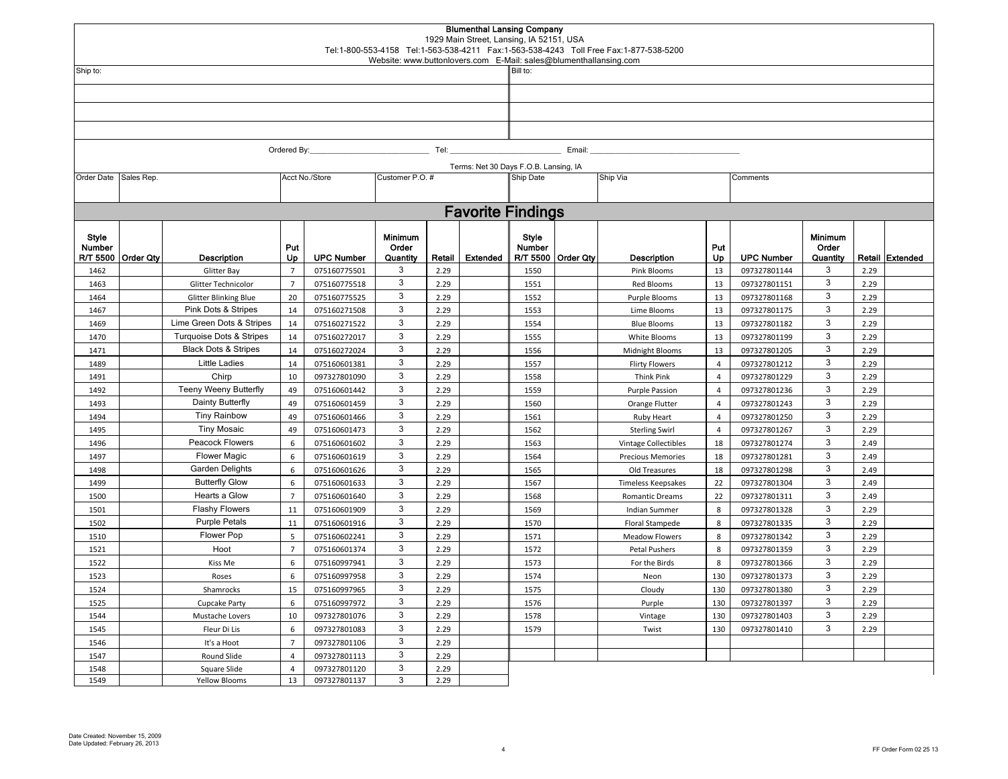|                             |                  |                                     |                     |                              | Website: www.buttonlovers.com E-Mail: sales@blumenthallansing.com |              | <b>Blumenthal Lansing Company</b><br>1929 Main Street, Lansing, IA 52151, USA |                                       |                    | Tel:1-800-553-4158 Tel:1-563-538-4211 Fax:1-563-538-4243 Toll Free Fax:1-877-538-5200 |                        |                              |                                     |              |                 |  |  |  |
|-----------------------------|------------------|-------------------------------------|---------------------|------------------------------|-------------------------------------------------------------------|--------------|-------------------------------------------------------------------------------|---------------------------------------|--------------------|---------------------------------------------------------------------------------------|------------------------|------------------------------|-------------------------------------|--------------|-----------------|--|--|--|
| Ship to:                    |                  |                                     |                     |                              |                                                                   |              |                                                                               | Bill to:                              |                    |                                                                                       |                        |                              |                                     |              |                 |  |  |  |
|                             |                  |                                     |                     |                              |                                                                   |              |                                                                               |                                       |                    |                                                                                       |                        |                              |                                     |              |                 |  |  |  |
|                             |                  |                                     |                     |                              |                                                                   |              |                                                                               |                                       |                    |                                                                                       |                        |                              |                                     |              |                 |  |  |  |
|                             |                  |                                     |                     |                              |                                                                   |              |                                                                               |                                       |                    |                                                                                       |                        |                              |                                     |              |                 |  |  |  |
|                             |                  |                                     |                     |                              |                                                                   |              |                                                                               |                                       |                    |                                                                                       |                        |                              |                                     |              |                 |  |  |  |
|                             |                  |                                     | Ordered By:         |                              |                                                                   | Tel: $\_$    |                                                                               |                                       | Email:             |                                                                                       |                        |                              |                                     |              |                 |  |  |  |
|                             |                  |                                     |                     |                              |                                                                   |              |                                                                               | Terms: Net 30 Days F.O.B. Lansing, IA |                    |                                                                                       |                        |                              |                                     |              |                 |  |  |  |
| Order Date                  | Sales Rep.       |                                     |                     | Acct No./Store               | Customer P.O. #                                                   |              |                                                                               | Ship Date                             |                    | Ship Via                                                                              |                        | Comments                     |                                     |              |                 |  |  |  |
|                             |                  |                                     |                     |                              |                                                                   |              |                                                                               |                                       |                    |                                                                                       |                        |                              |                                     |              |                 |  |  |  |
|                             |                  |                                     |                     |                              |                                                                   |              | <b>Favorite Findings</b>                                                      |                                       |                    |                                                                                       |                        |                              |                                     |              |                 |  |  |  |
| Style<br>Number<br>R/T 5500 | <b>Order Qty</b> | <b>Description</b>                  | Put<br>Up           | <b>UPC Number</b>            | <b>Minimum</b><br>Order<br>Quantity                               | Retail       | <b>Extended</b>                                                               | Style<br>Number                       | R/T 5500 Order Qty | Description                                                                           | Put<br>Up              | <b>UPC Number</b>            | <b>Minimum</b><br>Order<br>Quantity |              | Retail Extended |  |  |  |
| 1462                        |                  | Glitter Bay                         | $\overline{7}$      | 075160775501                 | 3                                                                 | 2.29         |                                                                               | 1550                                  |                    | Pink Blooms                                                                           | 13                     | 097327801144                 | 3                                   | 2.29         |                 |  |  |  |
| 1463                        |                  | Glitter Technicolor                 | $\overline{7}$      | 075160775518                 | 3                                                                 | 2.29         |                                                                               | 1551                                  |                    | Red Blooms                                                                            | 13                     | 097327801151                 | 3                                   | 2.29         |                 |  |  |  |
| 1464                        |                  | <b>Glitter Blinking Blue</b>        | 20                  | 075160775525                 | 3                                                                 | 2.29         |                                                                               | 1552                                  |                    | Purple Blooms                                                                         | 13                     | 097327801168                 | 3                                   | 2.29         |                 |  |  |  |
| 1467                        |                  | Pink Dots & Stripes                 | 14                  | 075160271508                 | 3                                                                 | 2.29         |                                                                               | 1553                                  |                    | Lime Blooms                                                                           | 13                     | 097327801175                 | 3                                   | 2.29         |                 |  |  |  |
| 1469                        |                  | Lime Green Dots & Stripes           | 14                  | 075160271522                 | 3                                                                 | 2.29         |                                                                               | 1554                                  |                    | <b>Blue Blooms</b>                                                                    | 13                     | 097327801182                 | 3                                   | 2.29         |                 |  |  |  |
| 1470                        |                  | <b>Turquoise Dots &amp; Stripes</b> | 14                  | 075160272017                 | 3                                                                 | 2.29         |                                                                               | 1555                                  |                    | White Blooms                                                                          | 13                     | 097327801199                 | 3                                   | 2.29         |                 |  |  |  |
| 1471                        |                  | <b>Black Dots &amp; Stripes</b>     | 14                  | 075160272024                 | 3                                                                 | 2.29         |                                                                               | 1556                                  |                    | Midnight Blooms                                                                       | 13                     | 097327801205                 | 3                                   | 2.29         |                 |  |  |  |
| 1489                        |                  | Little Ladies                       | 14                  | 075160601381                 | 3                                                                 | 2.29         |                                                                               | 1557                                  |                    | <b>Flirty Flowers</b>                                                                 | $\overline{4}$         | 097327801212                 | 3                                   | 2.29         |                 |  |  |  |
| 1491                        |                  | Chirp                               | 10                  | 097327801090                 | 3                                                                 | 2.29         |                                                                               | 1558                                  |                    | <b>Think Pink</b>                                                                     | $\overline{4}$         | 097327801229                 | 3                                   | 2.29         |                 |  |  |  |
| 1492                        |                  | <b>Teeny Weeny Butterfly</b>        | 49                  | 075160601442                 | 3                                                                 | 2.29         |                                                                               | 1559                                  |                    | <b>Purple Passion</b>                                                                 | $\overline{4}$         | 097327801236                 | 3                                   | 2.29         |                 |  |  |  |
| 1493                        |                  | Dainty Butterfly                    | 49                  | 075160601459                 | 3                                                                 | 2.29         |                                                                               | 1560                                  |                    | Orange Flutter                                                                        | $\overline{4}$         | 097327801243                 | $\mathsf 3$                         | 2.29         |                 |  |  |  |
| 1494                        |                  | <b>Tiny Rainbow</b>                 | 49                  | 075160601466                 | 3                                                                 | 2.29         |                                                                               | 1561                                  |                    | <b>Ruby Heart</b>                                                                     | $\overline{4}$         | 097327801250                 | 3                                   | 2.29         |                 |  |  |  |
| 1495                        |                  | <b>Tiny Mosaic</b>                  | 49                  | 075160601473                 | 3                                                                 | 2.29         |                                                                               | 1562                                  |                    | <b>Sterling Swirl</b>                                                                 | $\overline{4}$         | 097327801267                 | $\mathsf 3$                         | 2.29         |                 |  |  |  |
| 1496                        |                  | <b>Peacock Flowers</b>              | 6                   | 075160601602                 | 3                                                                 | 2.29         |                                                                               | 1563                                  |                    | Vintage Collectibles                                                                  | 18                     | 097327801274                 | 3                                   | 2.49         |                 |  |  |  |
| 1497                        |                  | <b>Flower Magic</b>                 | 6                   | 075160601619                 | 3                                                                 | 2.29         |                                                                               | 1564                                  |                    | Precious Memories                                                                     | 18                     | 097327801281                 | $\mathbf{3}$                        | 2.49         |                 |  |  |  |
| 1498                        |                  | Garden Delights                     | 6                   | 075160601626                 | 3                                                                 | 2.29         |                                                                               | 1565                                  |                    | Old Treasures                                                                         | 18                     | 097327801298                 | 3                                   | 2.49         |                 |  |  |  |
| 1499                        |                  | <b>Butterfly Glow</b>               | 6                   | 075160601633                 | 3                                                                 | 2.29         |                                                                               | 1567                                  |                    | <b>Timeless Keepsakes</b>                                                             | 22                     | 097327801304                 | 3<br>3                              | 2.49         |                 |  |  |  |
| 1500                        |                  | Hearts a Glow                       | $\overline{7}$      | 075160601640                 | 3<br>3                                                            | 2.29         |                                                                               | 1568                                  |                    | <b>Romantic Dreams</b>                                                                | 22                     | 097327801311                 | 3                                   | 2.49         |                 |  |  |  |
| 1501                        |                  | <b>Flashy Flowers</b>               | 11                  | 075160601909                 | 3                                                                 | 2.29         |                                                                               | 1569                                  |                    | <b>Indian Summer</b>                                                                  | $\,$ 8 $\,$            | 097327801328                 | 3                                   | 2.29         |                 |  |  |  |
| 1502                        |                  | <b>Purple Petals</b>                | 11                  | 075160601916                 | 3                                                                 | 2.29         |                                                                               | 1570                                  |                    | Floral Stampede                                                                       | $\bf 8$                | 097327801335                 | 3                                   | 2.29         |                 |  |  |  |
| 1510                        |                  | <b>Flower Pop</b>                   | 5<br>$\overline{7}$ | 075160602241                 | 3                                                                 | 2.29<br>2.29 |                                                                               | 1571                                  |                    | Meadow Flowers                                                                        | $\,$ 8 $\,$<br>$\bf 8$ | 097327801342                 | 3                                   | 2.29<br>2.29 |                 |  |  |  |
| 1521<br>1522                |                  | Hoot<br>Kiss Me                     | 6                   | 075160601374<br>075160997941 | 3                                                                 | 2.29         |                                                                               | 1572<br>1573                          |                    | Petal Pushers<br>For the Birds                                                        | 8                      | 097327801359<br>097327801366 | 3                                   | 2.29         |                 |  |  |  |
| 1523                        |                  | Roses                               | 6                   | 075160997958                 | 3                                                                 | 2.29         |                                                                               | 1574                                  |                    | Neon                                                                                  | 130                    | 097327801373                 | 3                                   | 2.29         |                 |  |  |  |
| 1524                        |                  | Shamrocks                           | 15                  | 075160997965                 | 3                                                                 | 2.29         |                                                                               | 1575                                  |                    | Cloudy                                                                                | 130                    | 097327801380                 | 3                                   | 2.29         |                 |  |  |  |
| 1525                        |                  | Cupcake Party                       | 6                   | 075160997972                 | 3                                                                 | 2.29         |                                                                               | 1576                                  |                    | Purple                                                                                | 130                    | 097327801397                 | 3                                   | 2.29         |                 |  |  |  |
| 1544                        |                  | Mustache Lovers                     | 10                  | 097327801076                 | 3                                                                 | 2.29         |                                                                               | 1578                                  |                    | Vintage                                                                               | 130                    | 097327801403                 | 3                                   | 2.29         |                 |  |  |  |
| 1545                        |                  | Fleur Di Lis                        | 6                   | 097327801083                 | 3                                                                 | 2.29         |                                                                               | 1579                                  |                    | Twist                                                                                 | 130                    | 097327801410                 | 3                                   | 2.29         |                 |  |  |  |
| 1546                        |                  | It's a Hoot                         | $\overline{7}$      | 097327801106                 | 3                                                                 | 2.29         |                                                                               |                                       |                    |                                                                                       |                        |                              |                                     |              |                 |  |  |  |
| 1547                        |                  | Round Slide                         | $\overline{4}$      | 097327801113                 | 3                                                                 | 2.29         |                                                                               |                                       |                    |                                                                                       |                        |                              |                                     |              |                 |  |  |  |
| 1548                        |                  | Square Slide                        | $\overline{4}$      | 097327801120                 | 3                                                                 | 2.29         |                                                                               |                                       |                    |                                                                                       |                        |                              |                                     |              |                 |  |  |  |
| 1549                        |                  | <b>Yellow Blooms</b>                | 13                  | 097327801137                 | 3                                                                 | 2.29         |                                                                               |                                       |                    |                                                                                       |                        |                              |                                     |              |                 |  |  |  |